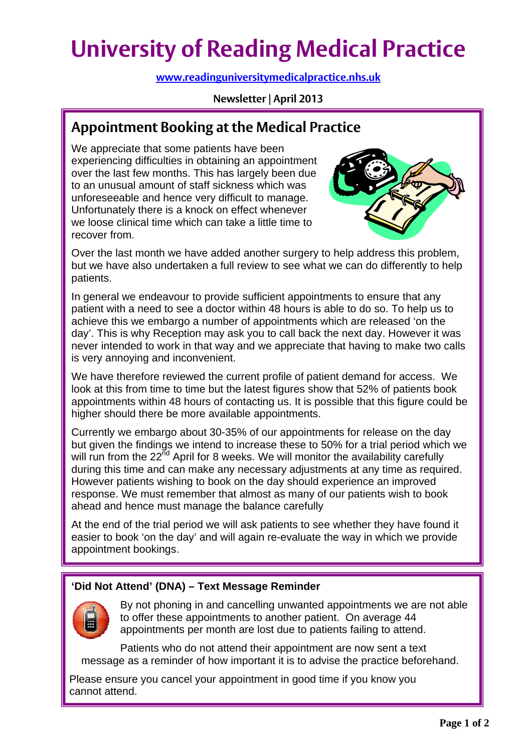# **University of Reading Medical Practice**

**[www.readinguniversitymedicalpractice.nhs.uk](http://www.readinguniversitymedicalpractice.nhs.uk/)**

**Newsletter | April 2013**

# **Appointment Booking at the Medical Practice**

We appreciate that some patients have been experiencing difficulties in obtaining an appointment over the last few months. This has largely been due to an unusual amount of staff sickness which was unforeseeable and hence very difficult to manage. Unfortunately there is a knock on effect whenever we loose clinical time which can take a little time to recover from.



Over the last month we have added another surgery to help address this problem, but we have also undertaken a full review to see what we can do differently to help patients.

In general we endeavour to provide sufficient appointments to ensure that any patient with a need to see a doctor within 48 hours is able to do so. To help us to achieve this we embargo a number of appointments which are released 'on the day'. This is why Reception may ask you to call back the next day. However it was never intended to work in that way and we appreciate that having to make two calls is very annoying and inconvenient.

We have therefore reviewed the current profile of patient demand for access. We look at this from time to time but the latest figures show that 52% of patients book appointments within 48 hours of contacting us. It is possible that this figure could be higher should there be more available appointments.

Currently we embargo about 30-35% of our appointments for release on the day but given the findings we intend to increase these to 50% for a trial period which we will run from the 22<sup>nd</sup> April for 8 weeks. We will monitor the availability carefully during this time and can make any necessary adjustments at any time as required. However patients wishing to book on the day should experience an improved response. We must remember that almost as many of our patients wish to book ahead and hence must manage the balance carefully

At the end of the trial period we will ask patients to see whether they have found it easier to book 'on the day' and will again re-evaluate the way in which we provide appointment bookings.

# **'Did Not Attend' (DNA) – Text Message Reminder**



By not phoning in and cancelling unwanted appointments we are not able to offer these appointments to another patient. On average 44 appointments per month are lost due to patients failing to attend.

Patients who do not attend their appointment are now sent a text message as a reminder of how important it is to advise the practice beforehand.

 Please ensure you cancel your appointment in good time if you know you cannot attend.